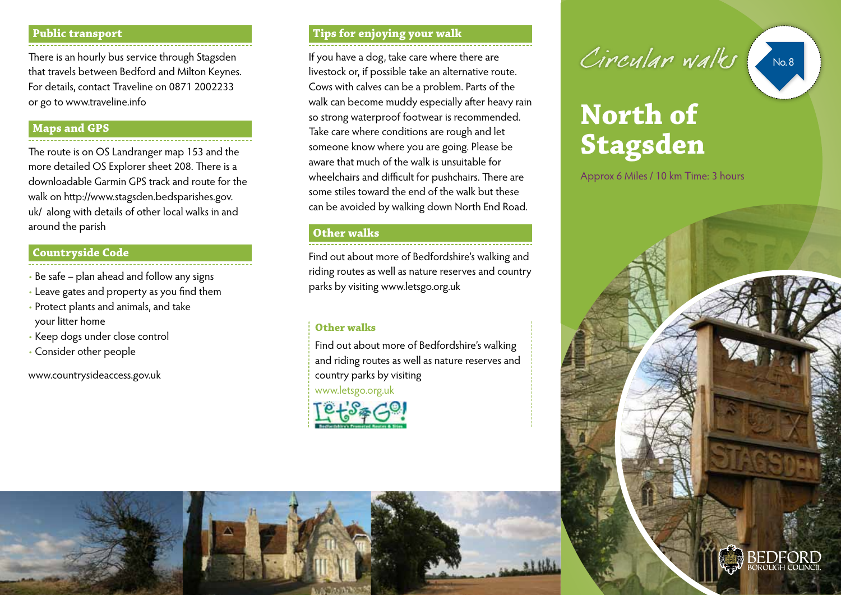#### **Public transport**

There is an hourly bus service through Stagsden that travels between Bedford and Milton Keynes. For details, contact Traveline on 0871 2002233 or go to www.traveline.info

### **Maps and GPS**

The route is on OS Landranger map 153 and the more detailed OS Explorer sheet 208. There is a downloadable Garmin GPS track and route for the walk on http://www.stagsden.bedsparishes.gov. uk/ along with details of other local walks in and around the parish

## **Countryside Code**

- Be safe plan ahead and follow any signs
- Leave gates and property as you find them
- Protect plants and animals, and take your litter home
- Keep dogs under close control
- Consider other people

www.countrysideaccess.gov.uk

#### **Tips for enjoying your walk**

If you have a dog, take care where there are livestock or, if possible take an alternative route. Cows with calves can be a problem. Parts of the walk can become muddy especially after heavy rain so strong waterproof footwear is recommended. Take care where conditions are rough and let someone know where you are going. Please be aware that much of the walk is unsuitable for wheelchairs and difficult for pushchairs. There are some stiles toward the end of the walk but these can be avoided by walking down North End Road.

# **Other walks**

Find out about more of Bedfordshire's walking and riding routes as well as nature reserves and country parks by visiting www.letsgo.org.uk

#### **Other walks**

Find out about more of Bedfordshire's walking and riding routes as well as nature reserves and country parks by visiting www.letsgo.org.uk





# No. 8

# **North of Stagsden**

Approx 6 Miles / 10 km Time: 3 hours

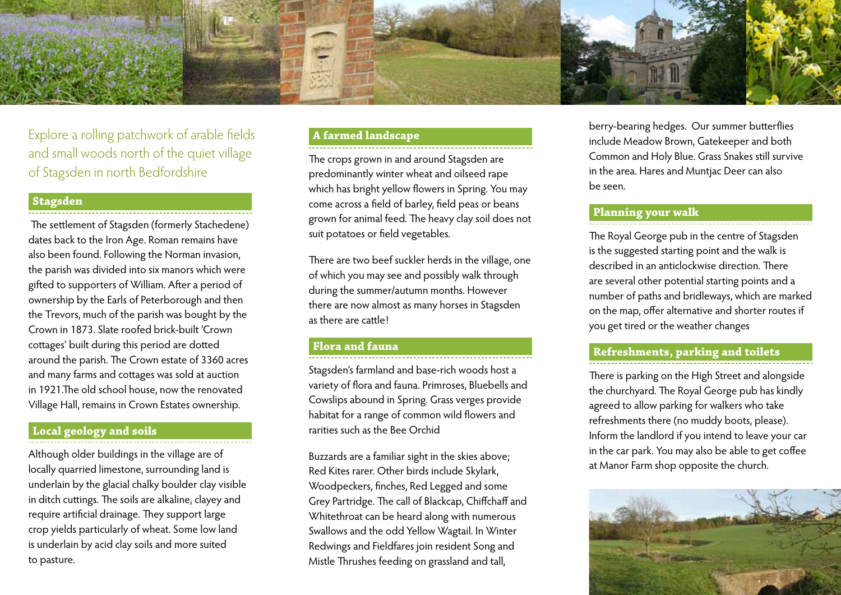

Explore a rolling patchwork of arable fields and small woods north of the quiet village of Stagsden in north Bedfordshire

#### **Stagsden**

 The settlement of Stagsden (formerly Stachedene) dates back to the Iron Age. Roman remains have also been found. Following the Norman invasion, the parish was divided into six manors which were gifted to supporters of William. After a period of ownership by the Earls of Peterborough and then the Trevors, much of the parish was bought by the Crown in 1873. Slate roofed brick-built 'Crown cottages' built during this period are dotted around the parish. The Crown estate of 3360 acres and many farms and cottages was sold at auction in 1921.The old school house, now the renovated Village Hall, remains in Crown Estates ownership.

# **Local geology and soils**

Although older buildings in the village are of locally quarried limestone, surrounding land is underlain by the glacial chalky boulder clay visible in ditch cuttings. The soils are alkaline, clayey and require artificial drainage. They support large crop yields particularly of wheat. Some low land is underlain by acid clay soils and more suited to pasture.

#### **A farmed landscape**

The crops grown in and around Stagsden are predominantly winter wheat and oilseed rape which has bright yellow flowers in Spring. You may come across a field of barley, field peas or beans grown for animal feed. The heavy clay soil does not suit potatoes or field vegetables.

There are two beef suckler herds in the village, one of which you may see and possibly walk through during the summer/autumn months. However there are now almost as many horses in Stagsden as there are cattle!

## **Flora and fauna**

Stagsden's farmland and base-rich woods host a variety of flora and fauna. Primroses, Bluebells and Cowslips abound in Spring. Grass verges provide habitat for a range of common wild flowers and rarities such as the Bee Orchid

Buzzards are a familiar sight in the skies above; Red Kites rarer. Other birds include Skylark, Woodpeckers, finches, Red Legged and some Grey Partridge. The call of Blackcap, Chiffchaff and Whitethroat can be heard along with numerous Swallows and the odd Yellow Wagtail. In Winter Redwings and Fieldfares join resident Song and Mistle Thrushes feeding on grassland and tall,

berry-bearing hedges. Our summer butterflies include Meadow Brown, Gatekeeper and both Common and Holy Blue. Grass Snakes still survive in the area. Hares and Muntjac Deer can also be seen.

#### **Planning your walk**

The Royal George pub in the centre of Stagsden is the suggested starting point and the walk is described in an anticlockwise direction. There are several other potential starting points and a number of paths and bridleways, which are marked on the map, offer alternative and shorter routes if you get tired or the weather changes

#### **Refreshments, parking and toilets**

There is parking on the High Street and alongside the churchyard. The Royal George pub has kindly agreed to allow parking for walkers who take refreshments there (no muddy boots, please). Inform the landlord if you intend to leave your car in the car park. You may also be able to get coffee at Manor Farm shop opposite the church.